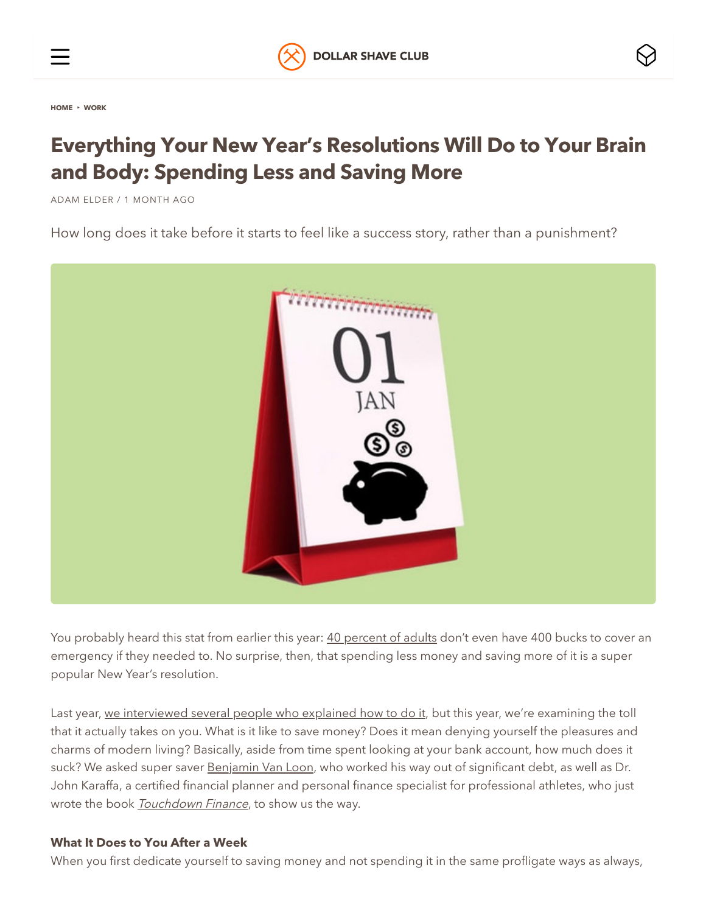

**[HOME](https://www.dollarshaveclub.com/content)** ▸ **[WORK](https://www.dollarshaveclub.com/content/section/work)**

# **Everything Your New Year's Resolutions Will Do to Your Brain and Body: Spending Less and Saving More**

ADAM [ELDER](https://www.dollarshaveclub.com/content/story/author/adame) / 1 MONTH AGO

How long does it take before it starts to feel like a success story, rather than a punishment?



You probably heard this stat from earlier this year: [40 percent of adults](https://www.marketwatch.com/story/why-4-in-10-adults-cant-cover-a-400-emergency-expense-2018-05-22) don't even have 400 bucks to cover an emergency if they needed to. No surprise, then, that spending less money and saving more of it is a super popular New Year's resolution.

Last year, [we interviewed several people who explained how to do it,](https://www.dollarshaveclub.com/content/en-us/story/normal-persons-guide-new-years-resolutions-spending-less-saving) but this year, we're examining the toll that it actually takes on you. What is it like to save money? Does it mean denying yourself the pleasures and charms of modern living? Basically, aside from time spent looking at your bank account, how much does it suck? We asked super saver [Benjamin Van Loon](https://melmagazine.com/en-us/story/into-the-black-i-married-into-100000-of-student-loan-debt-but-we-escaped-together), who worked his way out of significant debt, as well as Dr. John Karaffa, a certified financial planner and personal finance specialist for professional athletes, who just wrote the book **[Touchdown Finance](http://prosportcpa.com/touchdown-finance/)**, to show us the way.

#### **What It Does to You After a Week**

When you first dedicate yourself to saving money and not spending it in the same profligate ways as always,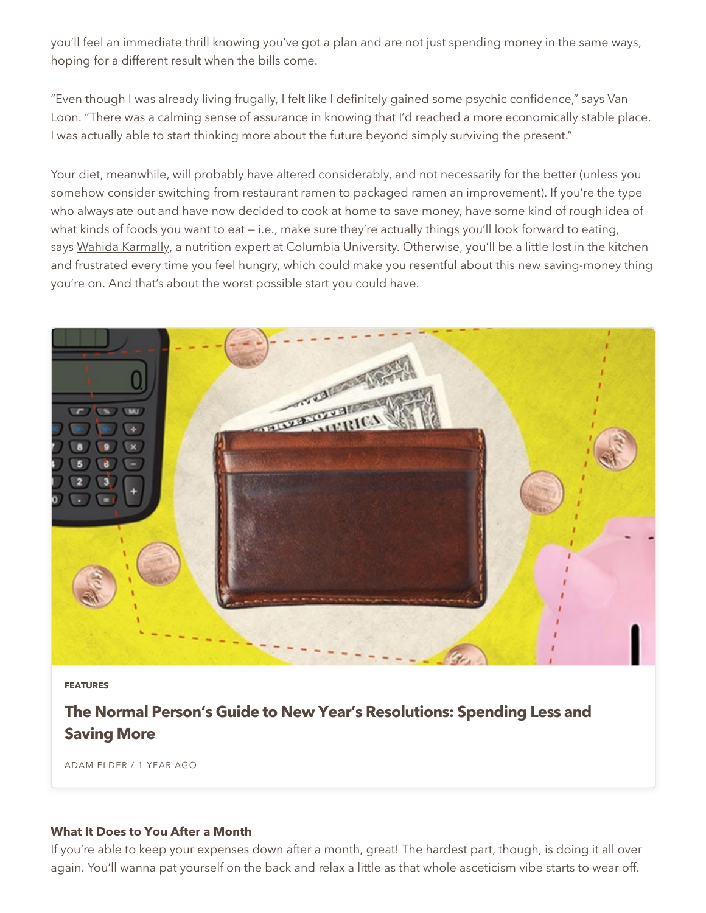you'll feel an immediate thrill knowing you've got a plan and are not just spending money in the same ways, hoping for a different result when the bills come.

"Even though I was already living frugally, I felt like I definitely gained some psychic confidence," says Van Loon. "There was a calming sense of assurance in knowing that I'd reached a more economically stable place. I was actually able to start thinking more about the future beyond simply surviving the present."

Your diet, meanwhile, will probably have altered considerably, and not necessarily for the better (unless you somehow consider switching from restaurant ramen to packaged ramen an improvement). If you're the type who always ate out and have now decided to cook at home to save money, have some kind of rough idea of what kinds of foods you want to eat — i.e., make sure they're actually things you'll look forward to eating, says [Wahida Karmally,](https://www.dollarshaveclub.com/content/en-us/story/possible-buy-exactly-one-weeks-worth-groceries) a nutrition expert at Columbia University. Otherwise, you'll be a little lost in the kitchen and frustrated every time you feel hungry, which could make you resentful about this new saving-money thing you're on. And that's about the worst possible start you could have.



**[FEATURES](https://www.dollarshaveclub.com/content/section/features)**

## **The Normal Person's Guide to New Year's [Resolutions:](https://www.dollarshaveclub.com/content/story/normal-persons-guide-new-years-resolutions-spending-less-saving) Spending Less and Saving More**

ADAM [ELDER](https://www.dollarshaveclub.com/content/story/author/adame) / 1 YEAR AGO

#### **What It Does to You After a Month**

If you're able to keep your expenses down after a month, great! The hardest part, though, is doing it all over again. You'll wanna pat yourself on the back and relax a little as that whole asceticism vibe starts to wear off.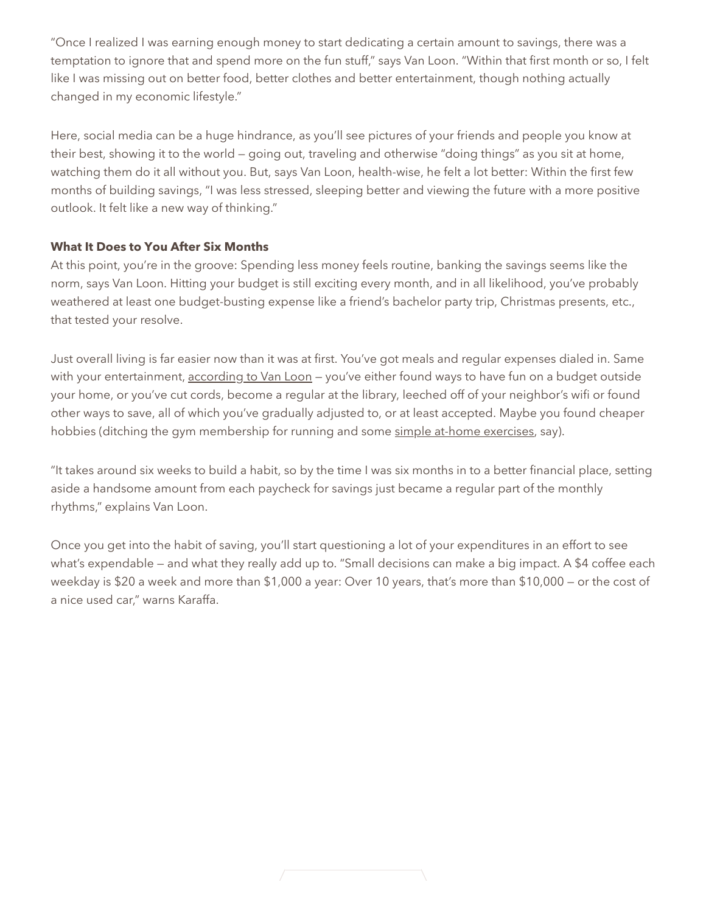"Once I realized I was earning enough money to start dedicating a certain amount to savings, there was a temptation to ignore that and spend more on the fun stuff," says Van Loon. "Within that first month or so, I felt like I was missing out on better food, better clothes and better entertainment, though nothing actually changed in my economic lifestyle."

Here, social media can be a huge hindrance, as you'll see pictures of your friends and people you know at their best, showing it to the world — going out, traveling and otherwise "doing things" as you sit at home, watching them do it all without you. But, says Van Loon, health-wise, he felt a lot better: Within the first few months of building savings, "I was less stressed, sleeping better and viewing the future with a more positive outlook. It felt like a new way of thinking."

### **What It Does to You After Six Months**

At this point, you're in the groove: Spending less money feels routine, banking the savings seems like the norm, says Van Loon. Hitting your budget is still exciting every month, and in all likelihood, you've probably weathered at least one budget-busting expense like a friend's bachelor party trip, Christmas presents, etc., that tested your resolve.

Just overall living is far easier now than it was at first. You've got meals and regular expenses dialed in. Same with your entertainment, [according to Van Loon](https://melmagazine.com/en-us/story/into-the-black-i-married-into-100000-of-student-loan-debt-but-we-escaped-together) - you've either found ways to have fun on a budget outside your home, or you've cut cords, become a regular at the library, leeched off of your neighbor's wifi or found other ways to save, all of which you've gradually adjusted to, or at least accepted. Maybe you found cheaper hobbies (ditching the gym membership for running and some [simple at-home exercises](https://www.dollarshaveclub.com/content/en-us/story/fitness-guide-people-no-free-time-trapped-snowdrift), say).

"It takes around six weeks to build a habit, so by the time I was six months in to a better financial place, setting aside a handsome amount from each paycheck for savings just became a regular part of the monthly rhythms," explains Van Loon.

Once you get into the habit of saving, you'll start questioning a lot of your expenditures in an effort to see what's expendable — and what they really add up to. "Small decisions can make a big impact. A \$4 coffee each weekday is \$20 a week and more than \$1,000 a year: Over 10 years, that's more than \$10,000 — or the cost of a nice used car," warns Karaffa.